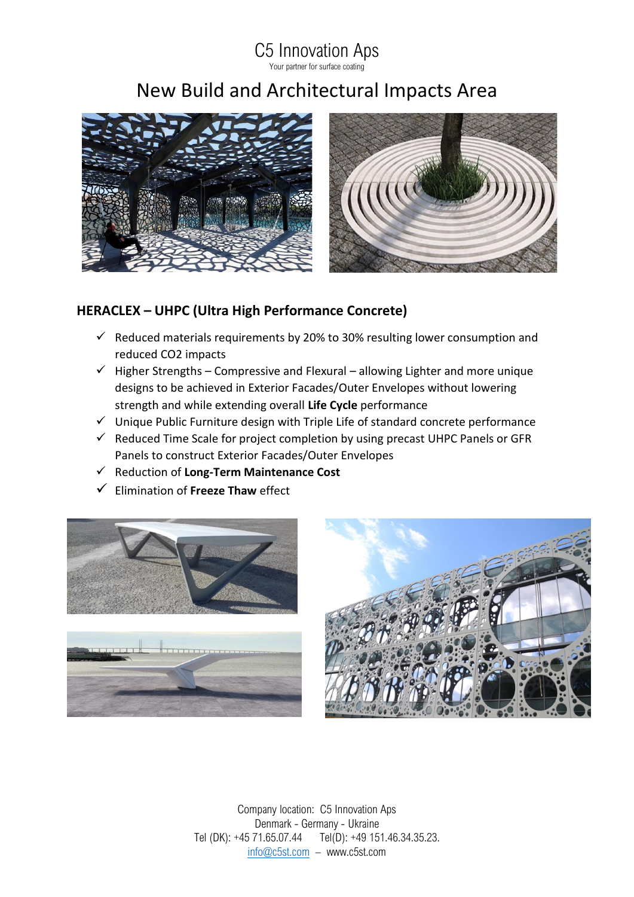## C5 Innovation Aps

Your partner for surface coating

## New Build and Architectural Impacts Area



## **HERACLEX – UHPC (Ultra High Performance Concrete)**

- $\checkmark$  Reduced materials requirements by 20% to 30% resulting lower consumption and reduced CO2 impacts
- $\checkmark$  Higher Strengths Compressive and Flexural allowing Lighter and more unique designs to be achieved in Exterior Facades/Outer Envelopes without lowering strength and while extending overall **Life Cycle** performance
- ✓ Unique Public Furniture design with Triple Life of standard concrete performance
- $\checkmark$  Reduced Time Scale for project completion by using precast UHPC Panels or GFR Panels to construct Exterior Facades/Outer Envelopes
- ✓ Reduction of **Long-Term Maintenance Cost**
- ✓ Elimination of **Freeze Thaw** effect







Company location: C5 Innovation Aps Denmark - Germany - Ukraine Tel (DK): +45 71.65.07.44 Tel(D): +49 151.46.34.35.23. [info@c5st.com](mailto:info@c5st.com) – www.c5st.com